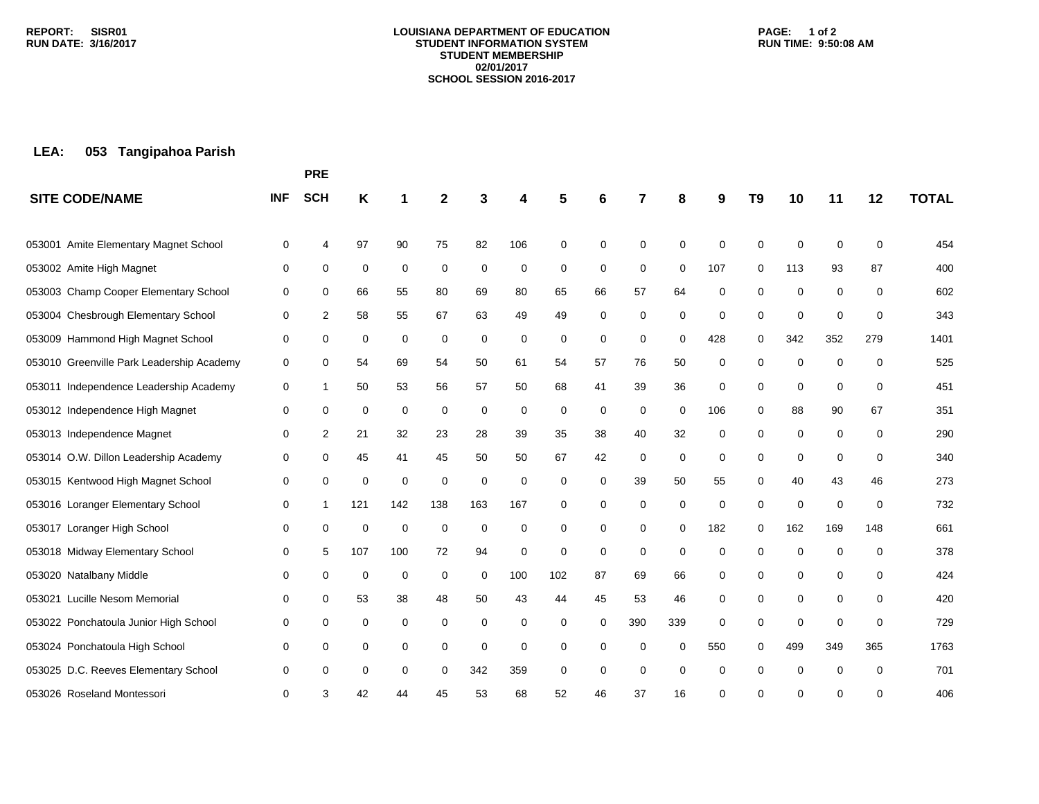#### **LOUISIANA DEPARTMENT OF EDUCATION STUDENT INFORMATION SYSTEM STUDENT MEMBERSHIP 02/01/2017 SCHOOL SESSION 2016-2017**

### **PAGE: 1 of 2 RUN TIME: 9:50:08 AM**

# **LEA: 053 Tangipahoa Parish**

|                                           |            | <b>PRE</b>  |     |             |             |     |     |     |    |             |             |     |             |             |             |          |              |
|-------------------------------------------|------------|-------------|-----|-------------|-------------|-----|-----|-----|----|-------------|-------------|-----|-------------|-------------|-------------|----------|--------------|
| <b>SITE CODE/NAME</b>                     | <b>INF</b> | <b>SCH</b>  | Κ   |             | 2           |     | 4   | 5   | 6  |             | 8           | 9   | T9          | 10          | 11          | 12       | <b>TOTAL</b> |
| Amite Elementary Magnet School<br>053001  | 0          | 4           | 97  | 90          | 75          | 82  | 106 | 0   | 0  | 0           | $\Omega$    | 0   | $\mathbf 0$ | $\mathbf 0$ | 0           | 0        | 454          |
| 053002 Amite High Magnet                  | 0          | 0           | 0   | $\mathbf 0$ | 0           | 0   | 0   | 0   | 0  | 0           | $\mathbf 0$ | 107 | 0           | 113         | 93          | 87       | 400          |
| 053003 Champ Cooper Elementary School     | 0          | 0           | 66  | 55          | 80          | 69  | 80  | 65  | 66 | 57          | 64          | 0   | 0           | $\mathbf 0$ | $\mathbf 0$ | 0        | 602          |
| 053004 Chesbrough Elementary School       | 0          | 2           | 58  | 55          | 67          | 63  | 49  | 49  | 0  | 0           | 0           | 0   | 0           | $\mathbf 0$ | $\mathbf 0$ | 0        | 343          |
| 053009 Hammond High Magnet School         | 0          | 0           | 0   | 0           | 0           | 0   | 0   | 0   | 0  | 0           | 0           | 428 | 0           | 342         | 352         | 279      | 1401         |
| 053010 Greenville Park Leadership Academy | 0          | 0           | 54  | 69          | 54          | 50  | 61  | 54  | 57 | 76          | 50          | 0   | 0           | 0           | $\mathbf 0$ | 0        | 525          |
| 053011 Independence Leadership Academy    | 0          | 1           | 50  | 53          | 56          | 57  | 50  | 68  | 41 | 39          | 36          | 0   | 0           | $\mathbf 0$ | $\mathbf 0$ | 0        | 451          |
| 053012 Independence High Magnet           | 0          | 0           | 0   | 0           | 0           | 0   | 0   | 0   | 0  | 0           | 0           | 106 | 0           | 88          | 90          | 67       | 351          |
| 053013 Independence Magnet                | 0          | 2           | 21  | 32          | 23          | 28  | 39  | 35  | 38 | 40          | 32          | 0   | 0           | 0           | 0           | 0        | 290          |
| 053014 O.W. Dillon Leadership Academy     | 0          | 0           | 45  | 41          | 45          | 50  | 50  | 67  | 42 | 0           | 0           | 0   | 0           | 0           | $\mathbf 0$ | 0        | 340          |
| 053015 Kentwood High Magnet School        | 0          | $\mathbf 0$ | 0   | $\mathbf 0$ | $\mathbf 0$ | 0   | 0   | 0   | 0  | 39          | 50          | 55  | 0           | 40          | 43          | 46       | 273          |
| 053016 Loranger Elementary School         | 0          | 1           | 121 | 142         | 138         | 163 | 167 | 0   | 0  | 0           | 0           | 0   | 0           | $\mathbf 0$ | 0           | 0        | 732          |
| 053017 Loranger High School               | 0          | $\mathbf 0$ | 0   | 0           | $\mathbf 0$ | 0   | 0   | 0   | 0  | 0           | 0           | 182 | 0           | 162         | 169         | 148      | 661          |
| 053018 Midway Elementary School           | 0          | 5           | 107 | 100         | 72          | 94  | 0   | 0   | 0  | $\mathbf 0$ | 0           | 0   | 0           | 0           | 0           | 0        | 378          |
| 053020 Natalbany Middle                   | 0          | 0           | 0   | 0           | 0           | 0   | 100 | 102 | 87 | 69          | 66          | 0   | 0           | 0           | 0           | 0        | 424          |
| 053021 Lucille Nesom Memorial             | 0          | 0           | 53  | 38          | 48          | 50  | 43  | 44  | 45 | 53          | 46          | 0   | 0           | $\mathbf 0$ | 0           | 0        | 420          |
| 053022 Ponchatoula Junior High School     | 0          | 0           | 0   | 0           | 0           | 0   | 0   | 0   | 0  | 390         | 339         | 0   | 0           | 0           | 0           | 0        | 729          |
| 053024 Ponchatoula High School            | 0          | 0           | 0   | 0           | 0           | 0   | 0   | 0   | 0  | 0           | 0           | 550 | $\Omega$    | 499         | 349         | 365      | 1763         |
| 053025 D.C. Reeves Elementary School      | 0          | 0           | 0   | 0           | 0           | 342 | 359 | 0   | 0  | $\mathbf 0$ | 0           | 0   | 0           | 0           | $\mathbf 0$ | $\Omega$ | 701          |
| 053026 Roseland Montessori                | 0          | 3           | 42  | 44          | 45          | 53  | 68  | 52  | 46 | 37          | 16          | 0   | 0           | ∩           | 0           | 0        | 406          |